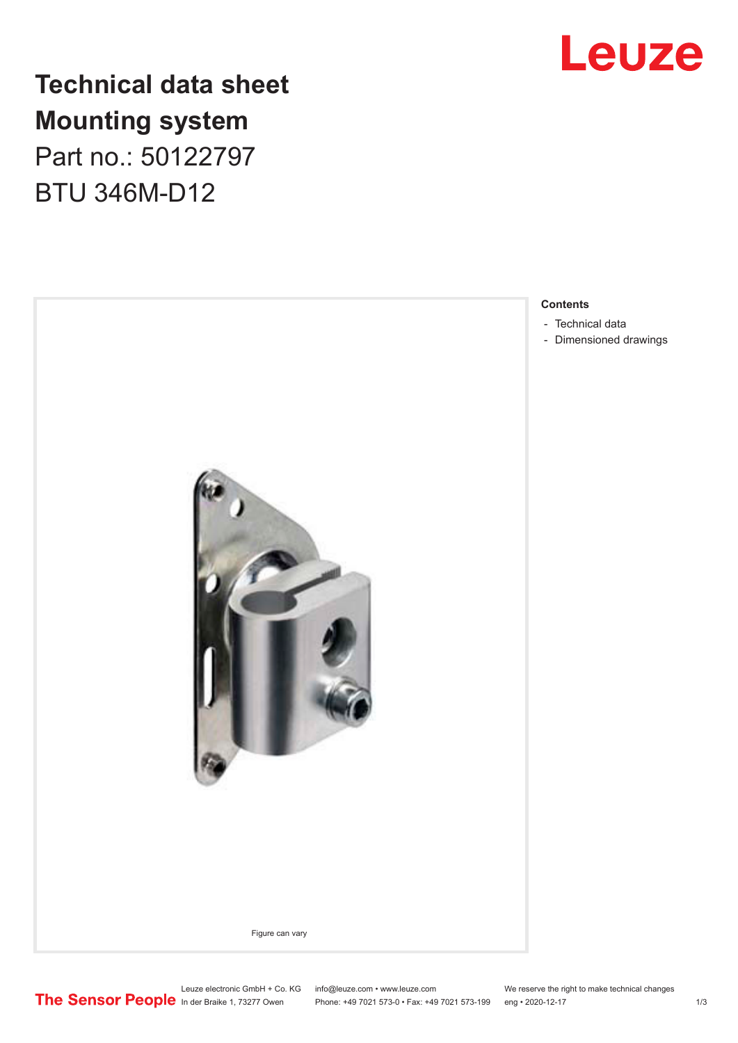

## **Technical data sheet Mounting system** Part no.: 50122797

BTU 346M-D12



- [Dimensioned drawings](#page-2-0)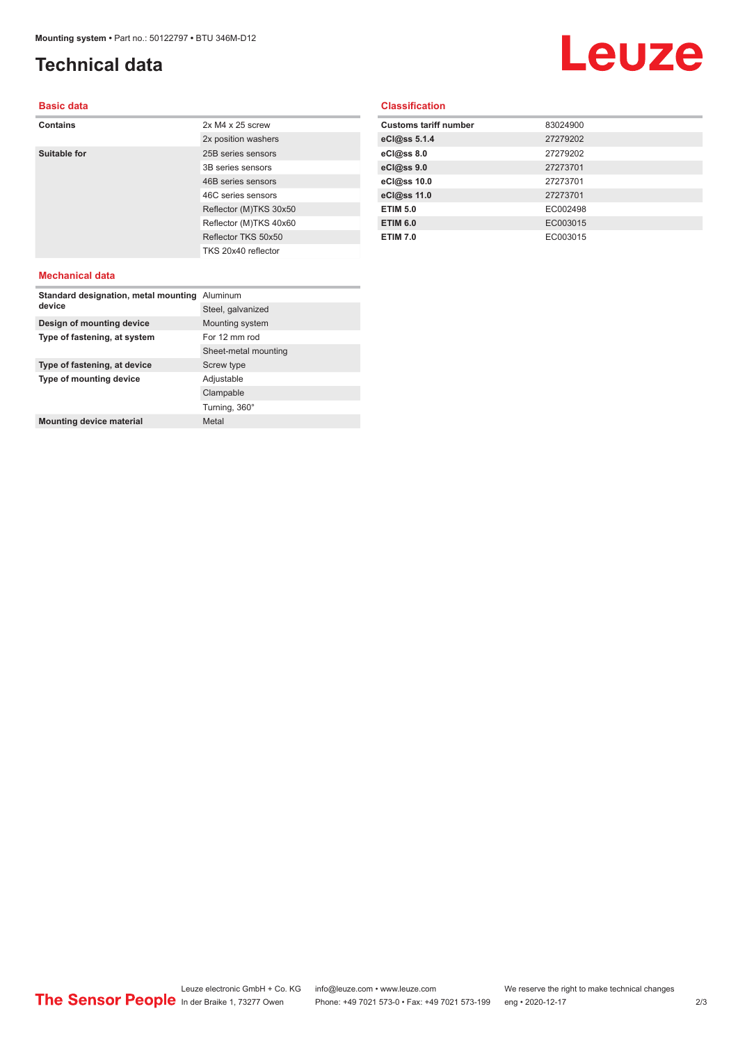## <span id="page-1-0"></span>**Technical data**

# Leuze

#### **Basic data**

| <b>Contains</b> | $2x M4 x 25$ screw     |
|-----------------|------------------------|
|                 | 2x position washers    |
| Suitable for    | 25B series sensors     |
|                 | 3B series sensors      |
|                 | 46B series sensors     |
|                 | 46C series sensors     |
|                 | Reflector (M)TKS 30x50 |
|                 | Reflector (M)TKS 40x60 |
|                 | Reflector TKS 50x50    |
|                 | TKS 20x40 reflector    |
| Mechanical data |                        |

#### **Classification**

| <b>Customs tariff number</b> | 83024900 |
|------------------------------|----------|
| eCl@ss 5.1.4                 | 27279202 |
| eCl@ss 8.0                   | 27279202 |
| eCl@ss 9.0                   | 27273701 |
| eCl@ss 10.0                  | 27273701 |
| eCl@ss 11.0                  | 27273701 |
| <b>ETIM 5.0</b>              | EC002498 |
| <b>ETIM 6.0</b>              | EC003015 |
| <b>ETIM 7.0</b>              | EC003015 |

#### **Mechanical data**

| Standard designation, metal mounting<br>device | Aluminum             |
|------------------------------------------------|----------------------|
|                                                | Steel, galvanized    |
| Design of mounting device                      | Mounting system      |
| Type of fastening, at system                   | For 12 mm rod        |
|                                                | Sheet-metal mounting |
| Type of fastening, at device                   | Screw type           |
| Type of mounting device                        | Adjustable           |
|                                                | Clampable            |
|                                                | Turning, 360°        |
| <b>Mounting device material</b>                | Metal                |